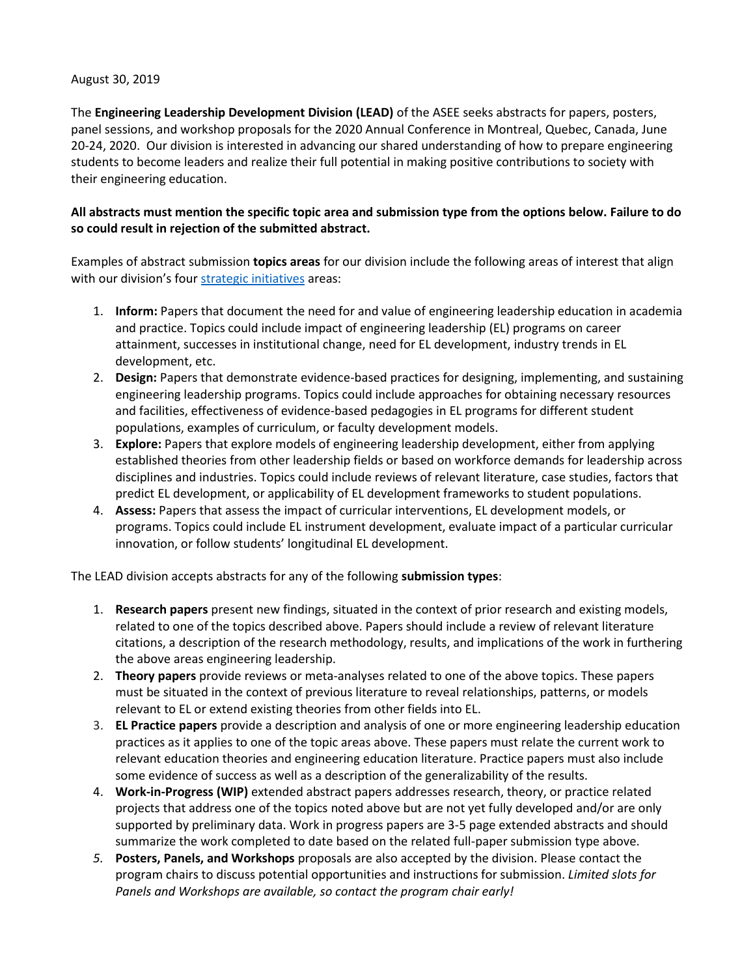## August 30, 2019

The **Engineering Leadership Development Division (LEAD)** of the ASEE seeks abstracts for papers, posters, panel sessions, and workshop proposals for the 2020 Annual Conference in Montreal, Quebec, Canada, June 20-24, 2020. Our division is interested in advancing our shared understanding of how to prepare engineering students to become leaders and realize their full potential in making positive contributions to society with their engineering education.

## **All abstracts must mention the specific topic area and submission type from the options below. Failure to do so could result in rejection of the submitted abstract.**

Examples of abstract submission **topics areas** for our division include the following areas of interest that align with our division's four [strategic initiatives](http://lead.asee.org/) areas:

- 1. **Inform:** Papers that document the need for and value of engineering leadership education in academia and practice. Topics could include impact of engineering leadership (EL) programs on career attainment, successes in institutional change, need for EL development, industry trends in EL development, etc.
- 2. **Design:** Papers that demonstrate evidence-based practices for designing, implementing, and sustaining engineering leadership programs. Topics could include approaches for obtaining necessary resources and facilities, effectiveness of evidence-based pedagogies in EL programs for different student populations, examples of curriculum, or faculty development models.
- 3. **Explore:** Papers that explore models of engineering leadership development, either from applying established theories from other leadership fields or based on workforce demands for leadership across disciplines and industries. Topics could include reviews of relevant literature, case studies, factors that predict EL development, or applicability of EL development frameworks to student populations.
- 4. **Assess:** Papers that assess the impact of curricular interventions, EL development models, or programs. Topics could include EL instrument development, evaluate impact of a particular curricular innovation, or follow students' longitudinal EL development.

The LEAD division accepts abstracts for any of the following **submission types**:

- 1. **Research papers** present new findings, situated in the context of prior research and existing models, related to one of the topics described above. Papers should include a review of relevant literature citations, a description of the research methodology, results, and implications of the work in furthering the above areas engineering leadership.
- 2. **Theory papers** provide reviews or meta-analyses related to one of the above topics. These papers must be situated in the context of previous literature to reveal relationships, patterns, or models relevant to EL or extend existing theories from other fields into EL.
- 3. **EL Practice papers** provide a description and analysis of one or more engineering leadership education practices as it applies to one of the topic areas above. These papers must relate the current work to relevant education theories and engineering education literature. Practice papers must also include some evidence of success as well as a description of the generalizability of the results.
- 4. **Work-in-Progress (WIP)** extended abstract papers addresses research, theory, or practice related projects that address one of the topics noted above but are not yet fully developed and/or are only supported by preliminary data. Work in progress papers are 3-5 page extended abstracts and should summarize the work completed to date based on the related full-paper submission type above.
- *5.* **Posters, Panels, and Workshops** proposals are also accepted by the division. Please contact the program chairs to discuss potential opportunities and instructions for submission. *Limited slots for Panels and Workshops are available, so contact the program chair early!*